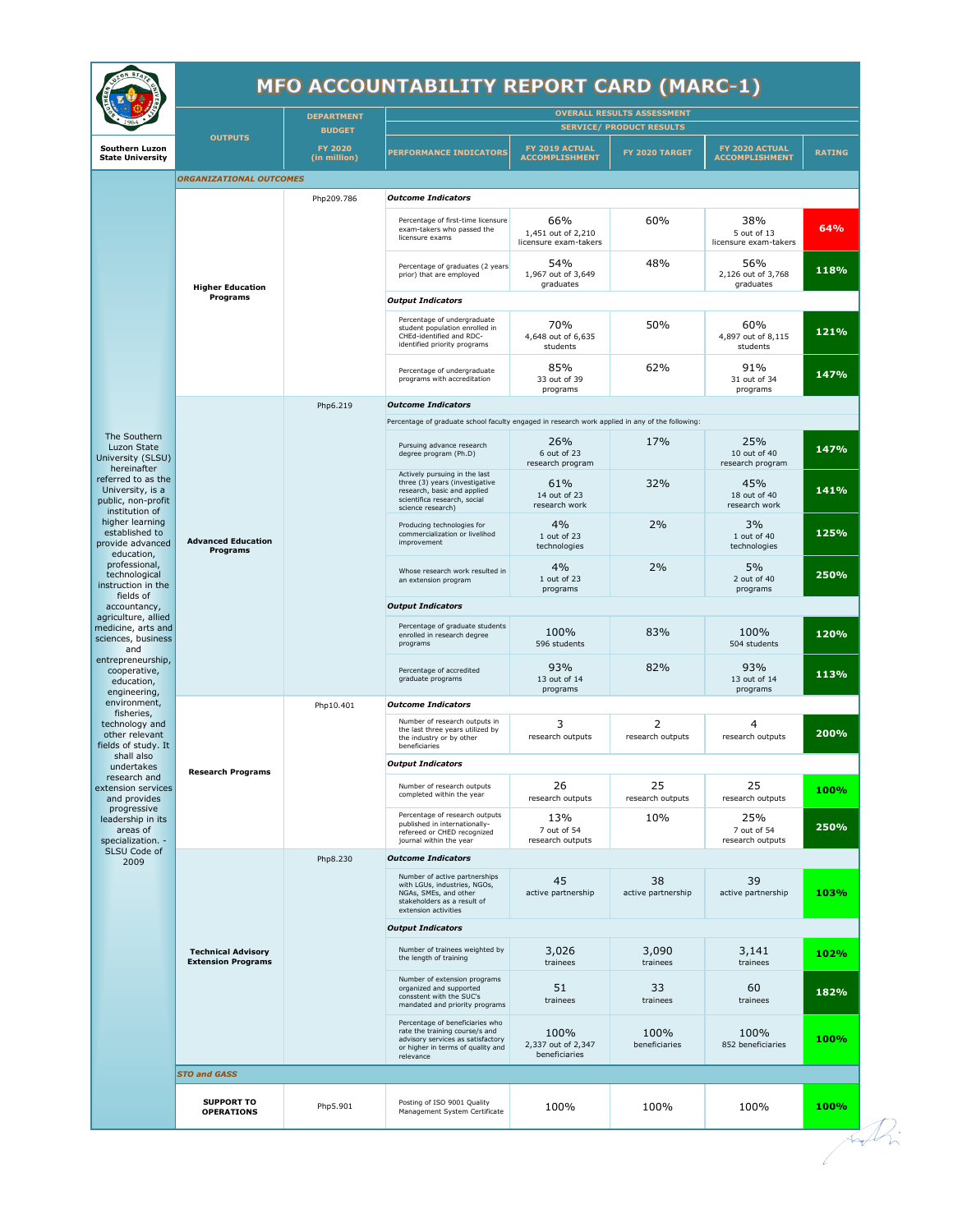## **MFO ACCOUNTABILITY REPORT CARD (MARC-1)**

|                                                                                                                                                                                                                                                                                                                                                                                                                                            | <b>MFO ACCOUNTABILITY REPORT CARD (MARC-1)</b>         |                                                 |                                                                                                                                                          |                                                    |                          |                                             |               |  |  |  |
|--------------------------------------------------------------------------------------------------------------------------------------------------------------------------------------------------------------------------------------------------------------------------------------------------------------------------------------------------------------------------------------------------------------------------------------------|--------------------------------------------------------|-------------------------------------------------|----------------------------------------------------------------------------------------------------------------------------------------------------------|----------------------------------------------------|--------------------------|---------------------------------------------|---------------|--|--|--|
|                                                                                                                                                                                                                                                                                                                                                                                                                                            |                                                        | <b>DEPARTMENT</b>                               | <b>OVERALL RESULTS ASSESSMENT</b><br><b>SERVICE/ PRODUCT RESULTS</b>                                                                                     |                                                    |                          |                                             |               |  |  |  |
| Southern Luzon<br><b>State University</b>                                                                                                                                                                                                                                                                                                                                                                                                  | <b>OUTPUTS</b>                                         | <b>BUDGET</b><br><b>FY 2020</b><br>(in million) | <b>PERFORMANCE INDICATORS</b>                                                                                                                            | FY 2019 ACTUAL<br><b>ACCOMPLISHMENT</b>            | FY 2020 TARGET           | FY 2020 ACTUAL<br><b>ACCOMPLISHMENT</b>     | <b>RATING</b> |  |  |  |
|                                                                                                                                                                                                                                                                                                                                                                                                                                            | <b>ORGANIZATIONAL OUTCOMES</b>                         |                                                 |                                                                                                                                                          |                                                    |                          |                                             |               |  |  |  |
|                                                                                                                                                                                                                                                                                                                                                                                                                                            | <b>Higher Education</b><br>Programs                    | Php209.786                                      | <b>Outcome Indicators</b>                                                                                                                                |                                                    |                          |                                             |               |  |  |  |
|                                                                                                                                                                                                                                                                                                                                                                                                                                            |                                                        |                                                 | Percentage of first-time licensure<br>exam-takers who passed the<br>licensure exams                                                                      | 66%<br>1,451 out of 2,210<br>licensure exam-takers | 60%                      | 38%<br>5 out of 13<br>licensure exam-takers | 64%           |  |  |  |
|                                                                                                                                                                                                                                                                                                                                                                                                                                            |                                                        |                                                 | Percentage of graduates (2 years<br>prior) that are employed                                                                                             | 54%<br>1,967 out of 3,649<br>graduates             | 48%                      | 56%<br>2,126 out of 3,768<br>graduates      | 118%          |  |  |  |
|                                                                                                                                                                                                                                                                                                                                                                                                                                            |                                                        |                                                 | <b>Output Indicators</b>                                                                                                                                 |                                                    |                          |                                             |               |  |  |  |
|                                                                                                                                                                                                                                                                                                                                                                                                                                            |                                                        |                                                 | Percentage of undergraduate<br>student population enrolled in<br>CHEd-identified and RDC-<br>identified priority programs                                | 70%<br>4,648 out of 6,635<br>students              | 50%                      | 60%<br>4,897 out of 8,115<br>students       | 121%          |  |  |  |
|                                                                                                                                                                                                                                                                                                                                                                                                                                            |                                                        |                                                 | Percentage of undergraduate<br>programs with accreditation                                                                                               | 85%<br>33 out of 39<br>programs                    | 62%                      | 91%<br>31 out of 34<br>programs             | 147%          |  |  |  |
|                                                                                                                                                                                                                                                                                                                                                                                                                                            |                                                        | Php6.219                                        | <b>Outcome Indicators</b>                                                                                                                                |                                                    |                          |                                             |               |  |  |  |
| The Southern                                                                                                                                                                                                                                                                                                                                                                                                                               |                                                        |                                                 | Percentage of graduate school faculty engaged in research work applied in any of the following:                                                          |                                                    |                          |                                             |               |  |  |  |
| Luzon State<br>University (SLSU)<br>hereinafter<br>referred to as the<br>University, is a<br>public, non-profit<br>institution of<br>higher learning<br>established to<br>provide advanced<br>education,<br>professional,<br>technological<br>instruction in the<br>fields of<br>accountancy,<br>agriculture, allied<br>medicine, arts and<br>sciences, business<br>and<br>entrepreneurship,<br>cooperative,<br>education,<br>engineering, | <b>Advanced Education</b><br>Programs                  |                                                 | Pursuing advance research<br>degree program (Ph.D)<br>Actively pursuing in the last                                                                      | 26%<br>6 out of 23<br>research program             | 17%                      | 25%<br>10 out of 40<br>research program     | 147%          |  |  |  |
|                                                                                                                                                                                                                                                                                                                                                                                                                                            |                                                        |                                                 | three (3) years (investigative<br>research, basic and applied<br>scientifica research, social<br>science research)                                       | 61%<br>14 out of 23<br>research work               | 32%                      | 45%<br>18 out of 40<br>research work        | 141%          |  |  |  |
|                                                                                                                                                                                                                                                                                                                                                                                                                                            |                                                        |                                                 | Producing technologies for<br>commercialization or livelihod<br>improvement                                                                              | 4%<br>1 out of 23<br>technologies                  | 2%                       | 3%<br>1 out of 40<br>technologies           | 125%          |  |  |  |
|                                                                                                                                                                                                                                                                                                                                                                                                                                            |                                                        |                                                 | Whose research work resulted in<br>an extension program                                                                                                  | 4%<br>1 out of 23<br>programs                      | 2%                       | 5%<br>2 out of 40<br>programs               | 250%          |  |  |  |
|                                                                                                                                                                                                                                                                                                                                                                                                                                            |                                                        |                                                 | <b>Output Indicators</b>                                                                                                                                 |                                                    |                          |                                             |               |  |  |  |
|                                                                                                                                                                                                                                                                                                                                                                                                                                            |                                                        |                                                 | Percentage of graduate students<br>enrolled in research degree<br>programs                                                                               | 100%<br>596 students                               | 83%                      | 100%<br>504 students                        | 120%          |  |  |  |
|                                                                                                                                                                                                                                                                                                                                                                                                                                            |                                                        |                                                 | Percentage of accredited<br>graduate programs                                                                                                            | 93%<br>13 out of 14<br>programs                    | 82%                      | 93%<br>13 out of 14<br>programs             | 113%          |  |  |  |
| environment,<br>fisheries,                                                                                                                                                                                                                                                                                                                                                                                                                 |                                                        | Php10.401                                       | <b>Outcome Indicators</b>                                                                                                                                |                                                    |                          |                                             |               |  |  |  |
| technology and<br>other relevant<br>fields of study. It                                                                                                                                                                                                                                                                                                                                                                                    | <b>Research Programs</b>                               |                                                 | Number of research outputs in<br>the last three years utilized by<br>the industry or by other<br>beneficiaries                                           | 3<br>research outputs                              | 2<br>research outputs    | 4<br>research outputs                       | 200%          |  |  |  |
| shall also<br>undertakes                                                                                                                                                                                                                                                                                                                                                                                                                   |                                                        |                                                 | <b>Output Indicators</b>                                                                                                                                 |                                                    |                          |                                             |               |  |  |  |
| research and<br>extension services<br>and provides<br>progressive<br>leadership in its<br>areas of<br>specialization. -                                                                                                                                                                                                                                                                                                                    |                                                        |                                                 | Number of research outputs<br>completed within the year                                                                                                  | 26<br>research outputs                             | 25<br>research outputs   | 25<br>research outputs                      | 100%          |  |  |  |
|                                                                                                                                                                                                                                                                                                                                                                                                                                            |                                                        |                                                 | Percentage of research outputs<br>published in internationally-<br>refereed or CHED recognized<br>journal within the year                                | 13%<br>7 out of 54<br>research outputs             | 10%                      | 25%<br>7 out of 54<br>research outputs      | 250%          |  |  |  |
| SLSU Code of<br>2009                                                                                                                                                                                                                                                                                                                                                                                                                       | <b>Technical Advisory</b><br><b>Extension Programs</b> | Php8.230                                        | <b>Outcome Indicators</b>                                                                                                                                |                                                    |                          |                                             |               |  |  |  |
|                                                                                                                                                                                                                                                                                                                                                                                                                                            |                                                        |                                                 | Number of active partnerships<br>with LGUs, industries, NGOs,<br>NGAs, SMEs, and other<br>stakeholders as a result of<br>extension activities            | 45<br>active partnership                           | 38<br>active partnership | 39<br>active partnership                    | 103%          |  |  |  |
|                                                                                                                                                                                                                                                                                                                                                                                                                                            |                                                        |                                                 | <b>Output Indicators</b>                                                                                                                                 |                                                    |                          |                                             |               |  |  |  |
|                                                                                                                                                                                                                                                                                                                                                                                                                                            |                                                        |                                                 | Number of trainees weighted by<br>the length of training                                                                                                 | 3,026<br>trainees                                  | 3,090<br>trainees        | 3,141<br>trainees                           | 102%          |  |  |  |
|                                                                                                                                                                                                                                                                                                                                                                                                                                            |                                                        |                                                 | Number of extension programs<br>organized and supported<br>consstent with the SUC's<br>mandated and priority programs                                    | 51<br>trainees                                     | 33<br>trainees           | 60<br>trainees                              | 182%          |  |  |  |
|                                                                                                                                                                                                                                                                                                                                                                                                                                            |                                                        |                                                 | Percentage of beneficiaries who<br>rate the training course/s and<br>advisory services as satisfactory<br>or higher in terms of quality and<br>relevance | 100%<br>2,337 out of 2,347<br>beneficiaries        | 100%<br>beneficiaries    | 100%<br>852 beneficiaries                   | 100%          |  |  |  |
|                                                                                                                                                                                                                                                                                                                                                                                                                                            | <b>STO and GASS</b>                                    |                                                 |                                                                                                                                                          |                                                    |                          |                                             |               |  |  |  |
|                                                                                                                                                                                                                                                                                                                                                                                                                                            | <b>SUPPORT TO</b><br><b>OPERATIONS</b>                 | Php5.901                                        | Posting of ISO 9001 Quality<br>Management System Certificate                                                                                             | 100%                                               | 100%                     | 100%                                        | 100%          |  |  |  |